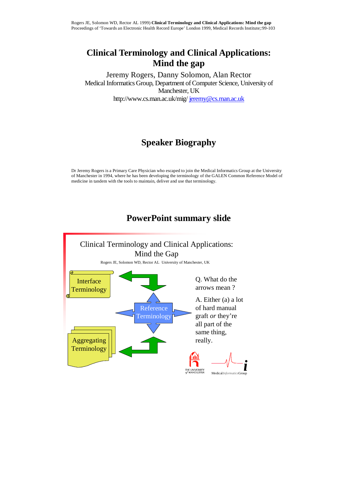## **Clinical Terminology and Clinical Applications: Mind the gap**

Jeremy Rogers, Danny Solomon, Alan Rector Medical Informatics Group, Department of Computer Science, University of Manchester, UK http://www.cs.man.ac.uk/mig/ jeremy@cs.man.ac.uk

# **Speaker Biography**

Dr Jeremy Rogers is a Primary Care Physician who escaped to join the Medical Informatics Group at the University of Manchester in 1994, where he has been developing the terminology of the GALEN Common Reference Model of medicine in tandem with the tools to maintain, deliver and use that terminology.

## **PowerPoint summary slide**

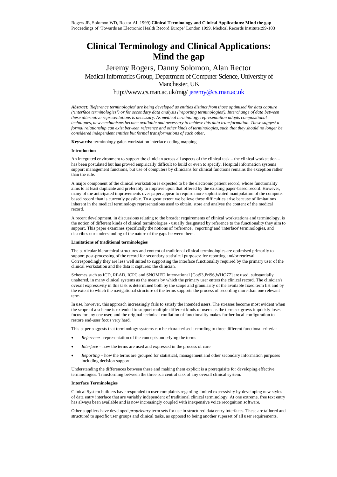### **Clinical Terminology and Clinical Applications: Mind the gap**

### Jeremy Rogers, Danny Solomon, Alan Rector Medical Informatics Group, Department of Computer Science, University of Manchester, UK

http://www.cs.man.ac.uk/mig/ jeremy@cs.man.ac.uk

*Abstract: 'Reference terminologies' are being developed as entities distinct from those optimised for data capture ('interface terminologies') or for secondary data analysis ('reporting terminologies'). Interchange of data between these alternative representations is necessary. As medical terminology representation adopts compositional techniques, new mechanisms become available and necessary to achieve this data transformation. These suggest a formal relationship can exist between reference and other kinds of terminologies, such that they should no longer be considered independent entities but formal transformations of each other.* 

**Keywords:** terminology galen workstation interface coding mapping

#### **Introduction**

An integrated environment to support the clinician across all aspects of the clinical task – the clinical workstation – has been postulated but has proved empirically difficult to build or even to specify. Hospital information systems support management functions, but use of computers by clinicians for clinical functions remains the exception rather than the rule.

A major component of the clinical workstation is expected to be the electronic patient record, whose functionality aims to at least duplicate and preferably to improve upon that offered by the existing paper-based record. However, many of the anticipated improvements over paper appear to require more sophisticated manipulation of the computerbased record than is currently possible. To a great extent we believe these difficulties arise because of limitations inherent in the medical terminology representations used to obtain, store and analyse the content of the medical record.

A recent development, in discussions relating to the broader requirements of clinical workstations and terminology, is the notion of different kinds of clinical terminologies - usually designated by reference to the functionality they aim to support. This paper examines specifically the notions of 'reference', 'reporting' and 'interface' terminologies, and describes our understanding of the nature of the gaps between them.

#### **Limitations of traditional terminologies**

The particular hierarchical structures and content of traditional clinical terminologies are optimised primarily to support post-processing of the record for secondary statistical purposes: for reporting and/or retrieval. Correspondingly they are less well suited to supporting the interface functionality required by the primary user of the clinical workstation and the data it captures: the clinician.

Schemes such as ICD, READ, ICPC and SNOMED International [Cot93,Pri96,WHO77] are used, substantially unaltered, in many clinical systems as the means by which the primary user enters the clinical record. The clinician's overall expressivity in this task is determined both by the scope and granularity of the available fixed term list and by the extent to which the navigational structure of the terms supports the process of recording more than one relevant term.

In use, however, this approach increasingly fails to satisfy the intended users. The stresses become most evident when the scope of a scheme is extended to support multiple different kinds of users: as the term set grows it quickly loses focus for any one user, and the original technical conflation of functionality makes further local configuration to restore end-user focus very hard.

This paper suggests that terminology systems can be characterised according to three different functional criteria:

- *Reference* representation of the concepts underlying the terms
- *Interface* how the terms are used and expressed in the process of care
- *Reporting* how the terms are grouped for statistical, management and other secondary information purposes including decision support

Understanding the differences between these and making them explicit is a prerequisite for developing effective terminologies. Transforming between the three is a central task of any overall clinical system.

#### **Interface Terminologies**

Clinical System builders have responded to user complaints regarding limited expressivity by developing new styles of data entry interface that are variably independent of traditional clinical terminology. At one extreme, free text entry has always been available and is now increasingly coupled with inexpensive voice recognition software.

Other suppliers have developed *proprietary* term sets for use in structured data entry interfaces. These are tailored and structured to specific user groups and clinical tasks, as opposed to being another superset of all user requirements.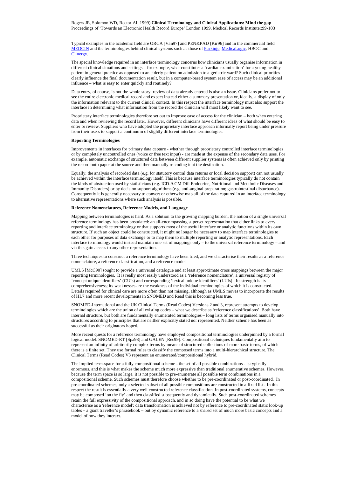Rogers JE, Solomon WD, Rector AL 1999) **Clinical Terminology and Clinical Applications: Mind the gap** Proceedings of 'Towards an Electronic Health Record Europe' London 1999, Medical Records Institute;:99-103

Typical examples in the academic field are ORCA [Van97] and PEN&PAD [Kir96] and in the commercial field MEDCIN and the terminologies behind clinical systems such as those of Purkinje, MedicaLogic, HBOC and Clinergy.

The special knowledge required in an interface terminology concerns how clinicians usually organise information in different clinical situations and settings – for example, what constitutes a 'cardiac examination' for a young healthy patient in general practice as opposed to an elderly patient on admission to a geriatric ward? Such clinical priorities clearly influence the final documentation result, but in a computer-based system ease of access may be an additional influence – what is easy to enter quickly and routinely?

Data entry, of course, is not the whole story: review of data already entered is also an issue. Clinicians prefer not to see the entire electronic medical record and expect instead either a summary presentation or, ideally, a display of only the information relevant to the current clinical context. In this respect the interface terminology must also support the interface in determining what information from the record the clinician will most likely want to see.

Proprietary interface terminologies therefore set out to improve ease of access for the clinician – both when entering data and when reviewing the record later. However, different clinicians have different ideas of what should be easy to enter or review. Suppliers who have adopted the proprietary interface approach informally report being under pressure from their users to support a continuum of slightly different interface terminologies.

#### **Reporting Terminologies**

Improvements in interfaces for primary data capture - whether through proprietary controlled interface terminologies or by completely uncontrolled ones (voice or free text input) - are made at the expense of the secondary data uses. For example, automatic exchange of structured data between different supplier systems is often achieved only by printing the record onto paper at the source and then manually re-coding it at the destination.

Equally, the analysis of recorded data (e.g. for statutory central data returns or local decision support) can not usually be achieved within the interface terminology itself. This is because interface terminologies typically do not contain the kinds of abstraction used by statisticians (e.g. ICD-9-CM Diii Endocrine, Nutritional and Metabolic Diseases and Immunity Disorders) or by decision support algorithms (e.g. anti-anginal preparation; gastrointestinal disturbance). Consequently it is generally necessary to convert or otherwise map all of the data captured in an interface terminology to alternative representations where such analysis is possible.

#### **Reference Nomenclatures, Reference Models, and Language**

Mapping between terminologies is hard. As a solution to the growing mapping burden, the notion of a single universal reference terminology has been postulated: an all-encompassing superset representation that either links to every reporting and interface terminology or that supports most of the useful interface or analytic functions within its own structure. If such an object could be constructed, it might no longer be necessary to map interface terminologies to each other for purposes of data exchange or to map them to multiple reporting or analytic representations. Each interface terminology would instead maintain one set of mappings only – to the universal reference terminology – and via this gain access to any other representation.

Three techniques to construct a reference terminology have been tried, and we characterise their results as a reference nomenclature, a reference classification, and a reference model.

UMLS [McC90] sought to provide a universal catalogue and at least approximate cross mappings between the major reporting terminologies. It is really most easily understood as a 'reference nomenclature', a universal registry of 'concept unique identifiers' (CUIs) and corresponding 'lexical unique identifiers' (LUIs). Its strength is its comprehensiveness; its weaknesses are the weakness of the individual terminologies of which it is constructed. Details required for clinical care are more often than not missing, although as UMLS moves to incorporate the results of HL7 and more recent developments in SNOMED and Read this is becoming less true.

SNOMED-International and the UK Clinical Terms (Read Codes) Versions 2 and 3, represent attempts to develop terminologies which are the union of all existing codes – what we describe as 'reference classifications'. Both have internal structure, but both are fundamentally enumerated terminologies – long lists of terms organised manually into structures according to principles that are neither explicitly stated nor represented. Neither scheme has been as successful as their originators hoped.

More recent quests for a reference terminology have employed compositional terminologies underpinned by a formal logical model: SNOMED-RT [Spa98] and GALEN [Rec99]. Compositional techniques fundamentally aim to represent an infinity of arbitrarily complex terms by means of structured collections of more basic terms, of which there is a finite set. They use formal rules to classify the composed terms into a multi-hierarchical structure. The Clinical Terms (Read Codes) V3 represent an enumerated/compositional hybrid.

The implied term-space for a fully compositional scheme - the set of all possible combinations - is typically enormous, and this is what makes the scheme much more expressive than traditional enumerative schemes. However, because the term space is so large, it is not possible to pre-enumerate all possible term combinations in a compositional scheme. Such schemes must therefore choose whether to be pre-coordinated or post-coordinated. In pre-coordinated schemes, only a selected subset of all possible compositions are constructed in a fixed list. In this respect the result is essentially a very well constructed reference classification. In post-coordinated systems, concepts may be composed 'on the fly' and then classified subsequently and dynamically. Such post-coordinated schemes retain the full expressivity of the compositional approach, and in so doing have the potential to be what we characterise as a 'reference model': data transformation is achieved not by reference to pre-coordinated static look-up tables – a giant traveller's phrasebook – but by dynamic reference to a shared set of much more basic concepts and a model of how they interact.